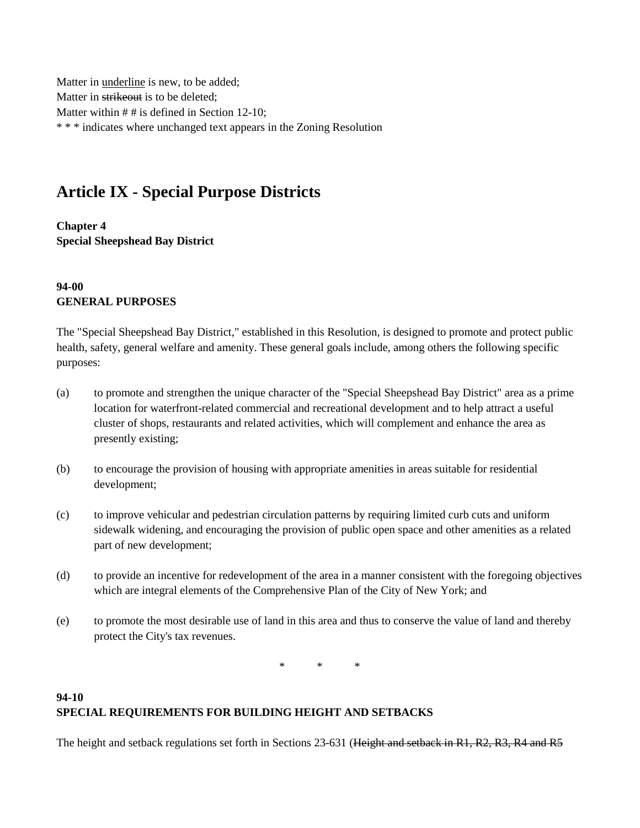Matter in underline is new, to be added; Matter in strikeout is to be deleted; Matter within # # is defined in Section 12-10; \* \* \* indicates where unchanged text appears in the Zoning Resolution

## **Article IX - Special Purpose Districts**

**Chapter 4 Special Sheepshead Bay District**

## **94-00 GENERAL PURPOSES**

The "Special Sheepshead Bay District," established in this Resolution, is designed to promote and protect public health, safety, general welfare and amenity. These general goals include, among others the following specific purposes:

- (a) to promote and strengthen the unique character of the "Special Sheepshead Bay District" area as a prime location for waterfront-related commercial and recreational development and to help attract a useful cluster of shops, restaurants and related activities, which will complement and enhance the area as presently existing;
- (b) to encourage the provision of housing with appropriate amenities in areas suitable for residential development;
- (c) to improve vehicular and pedestrian circulation patterns by requiring limited curb cuts and uniform sidewalk widening, and encouraging the provision of public open space and other amenities as a related part of new development;
- (d) to provide an incentive for redevelopment of the area in a manner consistent with the foregoing objectives which are integral elements of the Comprehensive Plan of the City of New York; and
- (e) to promote the most desirable use of land in this area and thus to conserve the value of land and thereby protect the City's tax revenues.

\* \* \*

## **94-10 SPECIAL REQUIREMENTS FOR BUILDING HEIGHT AND SETBACKS**

The height and setback regulations set forth in Sections 23-631 (Height and setback in R1, R2, R3, R4 and R5